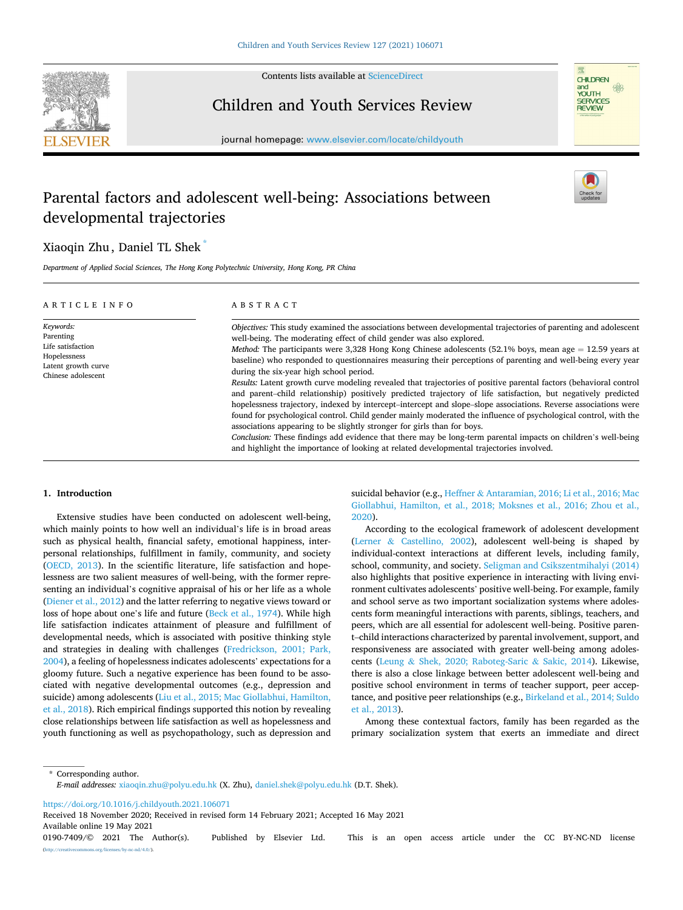

Contents lists available at [ScienceDirect](www.sciencedirect.com/science/journal/01907409)

## Children and Youth Services Review



journal homepage: [www.elsevier.com/locate/childyouth](https://www.elsevier.com/locate/childyouth)

# Parental factors and adolescent well-being: Associations between developmental trajectories

## Xiaoqin Zhu , Daniel TL Shek \*

*Department of Applied Social Sciences, The Hong Kong Polytechnic University, Hong Kong, PR China* 

| ARTICLE INFO                                                                                             | ABSTRACT                                                                                                                                                                                                                                                                                                                                                                                                                                                                                                                                                                                                                                                                                                                                                                                                                                                                                                                                                                                                                                                                                                                                                                                                                                   |
|----------------------------------------------------------------------------------------------------------|--------------------------------------------------------------------------------------------------------------------------------------------------------------------------------------------------------------------------------------------------------------------------------------------------------------------------------------------------------------------------------------------------------------------------------------------------------------------------------------------------------------------------------------------------------------------------------------------------------------------------------------------------------------------------------------------------------------------------------------------------------------------------------------------------------------------------------------------------------------------------------------------------------------------------------------------------------------------------------------------------------------------------------------------------------------------------------------------------------------------------------------------------------------------------------------------------------------------------------------------|
| Keywords:<br>Parenting<br>Life satisfaction<br>Hopelessness<br>Latent growth curve<br>Chinese adolescent | Objectives: This study examined the associations between developmental trajectories of parenting and adolescent<br>well-being. The moderating effect of child gender was also explored.<br><i>Method:</i> The participants were 3,328 Hong Kong Chinese adolescents (52.1% boys, mean age $= 12.59$ years at<br>baseline) who responded to questionnaires measuring their perceptions of parenting and well-being every year<br>during the six-year high school period.<br>Results: Latent growth curve modeling revealed that trajectories of positive parental factors (behavioral control<br>and parent-child relationship) positively predicted trajectory of life satisfaction, but negatively predicted<br>hopelessness trajectory, indexed by intercept-intercept and slope-slope associations. Reverse associations were<br>found for psychological control. Child gender mainly moderated the influence of psychological control, with the<br>associations appearing to be slightly stronger for girls than for boys.<br>Conclusion: These findings add evidence that there may be long-term parental impacts on children's well-being<br>and highlight the importance of looking at related developmental trajectories involved. |

### **1. Introduction**

Extensive studies have been conducted on adolescent well-being, which mainly points to how well an individual's life is in broad areas such as physical health, financial safety, emotional happiness, interpersonal relationships, fulfillment in family, community, and society ([OECD, 2013](#page-9-0)). In the scientific literature, life satisfaction and hopelessness are two salient measures of well-being, with the former representing an individual's cognitive appraisal of his or her life as a whole ([Diener et al., 2012](#page-8-0)) and the latter referring to negative views toward or loss of hope about one's life and future [\(Beck et al., 1974\)](#page-8-0). While high life satisfaction indicates attainment of pleasure and fulfillment of developmental needs, which is associated with positive thinking style and strategies in dealing with challenges [\(Fredrickson, 2001; Park,](#page-8-0)  [2004\)](#page-8-0), a feeling of hopelessness indicates adolescents' expectations for a gloomy future. Such a negative experience has been found to be associated with negative developmental outcomes (e.g., depression and suicide) among adolescents ([Liu et al., 2015; Mac Giollabhui, Hamilton,](#page-8-0)  [et al., 2018](#page-8-0)). Rich empirical findings supported this notion by revealing close relationships between life satisfaction as well as hopelessness and youth functioning as well as psychopathology, such as depression and suicidal behavior (e.g., Heffner & [Antaramian, 2016; Li et al., 2016; Mac](#page-8-0)  [Giollabhui, Hamilton, et al., 2018; Moksnes et al., 2016; Zhou et al.,](#page-8-0)  [2020\)](#page-8-0).

According to the ecological framework of adolescent development (Lerner & [Castellino, 2002\)](#page-8-0), adolescent well-being is shaped by individual-context interactions at different levels, including family, school, community, and society. [Seligman and Csikszentmihalyi \(2014\)](#page-9-0)  also highlights that positive experience in interacting with living environment cultivates adolescents' positive well-being. For example, family and school serve as two important socialization systems where adolescents form meaningful interactions with parents, siblings, teachers, and peers, which are all essential for adolescent well-being. Positive parent–child interactions characterized by parental involvement, support, and responsiveness are associated with greater well-being among adolescents (Leung & [Shek, 2020; Raboteg-Saric](#page-8-0) & Sakic, 2014). Likewise, there is also a close linkage between better adolescent well-being and positive school environment in terms of teacher support, peer acceptance, and positive peer relationships (e.g., [Birkeland et al., 2014; Suldo](#page-8-0)  [et al., 2013\)](#page-8-0).

Among these contextual factors, family has been regarded as the primary socialization system that exerts an immediate and direct

\* Corresponding author. *E-mail addresses:* [xiaoqin.zhu@polyu.edu.hk](mailto:xiaoqin.zhu@polyu.edu.hk) (X. Zhu), [daniel.shek@polyu.edu.hk](mailto:daniel.shek@polyu.edu.hk) (D.T. Shek).

<https://doi.org/10.1016/j.childyouth.2021.106071>

Available online 19 May 2021 0190-7409/© 2021 The Author(s). Published by Elsevier Ltd. This is an open access article under the CC BY-NC-ND license [\(http://creativecommons.org/licenses/by-nc-nd/4.0/\)](http://creativecommons.org/licenses/by-nc-nd/4.0/). Received 18 November 2020; Received in revised form 14 February 2021; Accepted 16 May 2021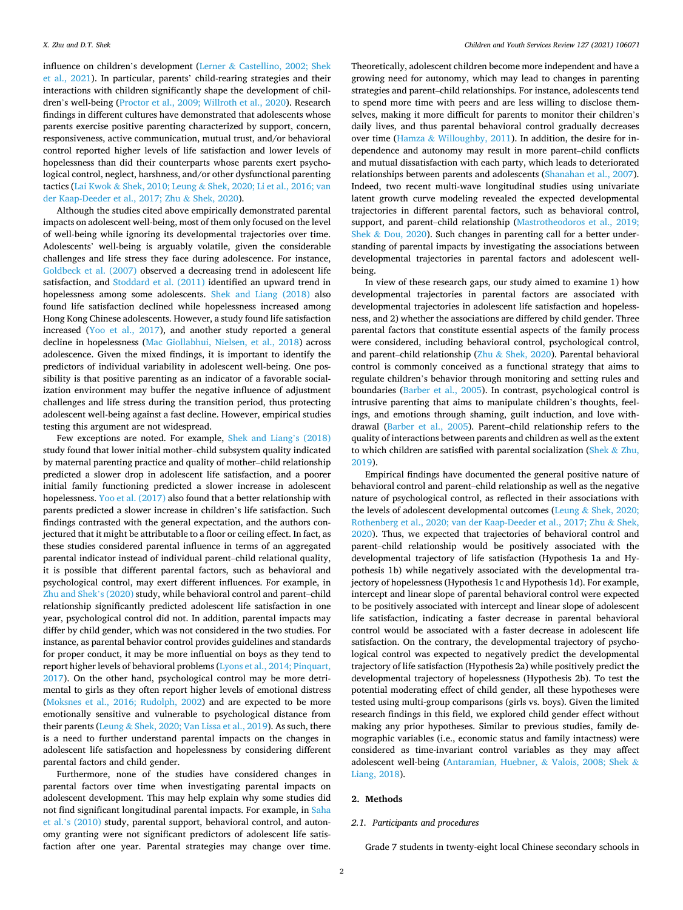influence on children's development (Lerner & [Castellino, 2002; Shek](#page-8-0)  [et al., 2021\)](#page-8-0). In particular, parents' child-rearing strategies and their interactions with children significantly shape the development of children's well-being [\(Proctor et al., 2009; Willroth et al., 2020](#page-9-0)). Research findings in different cultures have demonstrated that adolescents whose parents exercise positive parenting characterized by support, concern, responsiveness, active communication, mutual trust, and/or behavioral control reported higher levels of life satisfaction and lower levels of hopelessness than did their counterparts whose parents exert psychological control, neglect, harshness, and/or other dysfunctional parenting tactics (Lai Kwok & Shek, 2010; Leung & [Shek, 2020; Li et al., 2016; van](#page-8-0)  [der Kaap-Deeder et al., 2017; Zhu](#page-8-0) & Shek, 2020).

Although the studies cited above empirically demonstrated parental impacts on adolescent well-being, most of them only focused on the level of well-being while ignoring its developmental trajectories over time. Adolescents' well-being is arguably volatile, given the considerable challenges and life stress they face during adolescence. For instance, [Goldbeck et al. \(2007\)](#page-8-0) observed a decreasing trend in adolescent life satisfaction, and [Stoddard et al. \(2011\)](#page-9-0) identified an upward trend in hopelessness among some adolescents. [Shek and Liang \(2018\)](#page-9-0) also found life satisfaction declined while hopelessness increased among Hong Kong Chinese adolescents. However, a study found life satisfaction increased [\(Yoo et al., 2017](#page-9-0)), and another study reported a general decline in hopelessness [\(Mac Giollabhui, Nielsen, et al., 2018\)](#page-8-0) across adolescence. Given the mixed findings, it is important to identify the predictors of individual variability in adolescent well-being. One possibility is that positive parenting as an indicator of a favorable socialization environment may buffer the negative influence of adjustment challenges and life stress during the transition period, thus protecting adolescent well-being against a fast decline. However, empirical studies testing this argument are not widespread.

Few exceptions are noted. For example, [Shek and Liang](#page-9-0)'s (2018) study found that lower initial mother–child subsystem quality indicated by maternal parenting practice and quality of mother–child relationship predicted a slower drop in adolescent life satisfaction, and a poorer initial family functioning predicted a slower increase in adolescent hopelessness. [Yoo et al. \(2017\)](#page-9-0) also found that a better relationship with parents predicted a slower increase in children's life satisfaction. Such findings contrasted with the general expectation, and the authors conjectured that it might be attributable to a floor or ceiling effect. In fact, as these studies considered parental influence in terms of an aggregated parental indicator instead of individual parent–child relational quality, it is possible that different parental factors, such as behavioral and psychological control, may exert different influences. For example, in [Zhu and Shek](#page-9-0)'s (2020) study, while behavioral control and parent–child relationship significantly predicted adolescent life satisfaction in one year, psychological control did not. In addition, parental impacts may differ by child gender, which was not considered in the two studies. For instance, as parental behavior control provides guidelines and standards for proper conduct, it may be more influential on boys as they tend to report higher levels of behavioral problems ([Lyons et al., 2014; Pinquart,](#page-8-0)  [2017\)](#page-8-0). On the other hand, psychological control may be more detrimental to girls as they often report higher levels of emotional distress ([Moksnes et al., 2016; Rudolph, 2002](#page-9-0)) and are expected to be more emotionally sensitive and vulnerable to psychological distance from their parents (Leung & [Shek, 2020; Van Lissa et al., 2019](#page-8-0)). As such, there is a need to further understand parental impacts on the changes in adolescent life satisfaction and hopelessness by considering different parental factors and child gender.

Furthermore, none of the studies have considered changes in parental factors over time when investigating parental impacts on adolescent development. This may help explain why some studies did not find significant longitudinal parental impacts. For example, in [Saha](#page-9-0)  et al.'[s \(2010\)](#page-9-0) study, parental support, behavioral control, and autonomy granting were not significant predictors of adolescent life satisfaction after one year. Parental strategies may change over time.

Theoretically, adolescent children become more independent and have a growing need for autonomy, which may lead to changes in parenting strategies and parent–child relationships. For instance, adolescents tend to spend more time with peers and are less willing to disclose themselves, making it more difficult for parents to monitor their children's daily lives, and thus parental behavioral control gradually decreases over time (Hamza & [Willoughby, 2011\)](#page-8-0). In addition, the desire for independence and autonomy may result in more parent–child conflicts and mutual dissatisfaction with each party, which leads to deteriorated relationships between parents and adolescents [\(Shanahan et al., 2007](#page-9-0)). Indeed, two recent multi-wave longitudinal studies using univariate latent growth curve modeling revealed the expected developmental trajectories in different parental factors, such as behavioral control, support, and parent–child relationship ([Mastrotheodoros et al., 2019;](#page-8-0)  Shek & [Dou, 2020](#page-8-0)). Such changes in parenting call for a better understanding of parental impacts by investigating the associations between developmental trajectories in parental factors and adolescent wellbeing.

In view of these research gaps, our study aimed to examine 1) how developmental trajectories in parental factors are associated with developmental trajectories in adolescent life satisfaction and hopelessness, and 2) whether the associations are differed by child gender. Three parental factors that constitute essential aspects of the family process were considered, including behavioral control, psychological control, and parent–child relationship (Zhu & [Shek, 2020\)](#page-9-0). Parental behavioral control is commonly conceived as a functional strategy that aims to regulate children's behavior through monitoring and setting rules and boundaries ([Barber et al., 2005](#page-8-0)). In contrast, psychological control is intrusive parenting that aims to manipulate children's thoughts, feelings, and emotions through shaming, guilt induction, and love withdrawal ([Barber et al., 2005](#page-8-0)). Parent–child relationship refers to the quality of interactions between parents and children as well as the extent to which children are satisfied with parental socialization [\(Shek](#page-9-0) & Zhu, [2019\)](#page-9-0).

Empirical findings have documented the general positive nature of behavioral control and parent–child relationship as well as the negative nature of psychological control, as reflected in their associations with the levels of adolescent developmental outcomes (Leung & [Shek, 2020;](#page-8-0)  [Rothenberg et al., 2020; van der Kaap-Deeder et al., 2017; Zhu](#page-8-0) & Shek, [2020\)](#page-8-0). Thus, we expected that trajectories of behavioral control and parent–child relationship would be positively associated with the developmental trajectory of life satisfaction (Hypothesis 1a and Hypothesis 1b) while negatively associated with the developmental trajectory of hopelessness (Hypothesis 1c and Hypothesis 1d). For example, intercept and linear slope of parental behavioral control were expected to be positively associated with intercept and linear slope of adolescent life satisfaction, indicating a faster decrease in parental behavioral control would be associated with a faster decrease in adolescent life satisfaction. On the contrary, the developmental trajectory of psychological control was expected to negatively predict the developmental trajectory of life satisfaction (Hypothesis 2a) while positively predict the developmental trajectory of hopelessness (Hypothesis 2b). To test the potential moderating effect of child gender, all these hypotheses were tested using multi-group comparisons (girls vs. boys). Given the limited research findings in this field, we explored child gender effect without making any prior hypotheses. Similar to previous studies, family demographic variables (i.e., economic status and family intactness) were considered as time-invariant control variables as they may affect adolescent well-being ([Antaramian, Huebner,](#page-8-0) & Valois, 2008; Shek & [Liang, 2018\)](#page-8-0).

## **2. Methods**

#### *2.1. Participants and procedures*

Grade 7 students in twenty-eight local Chinese secondary schools in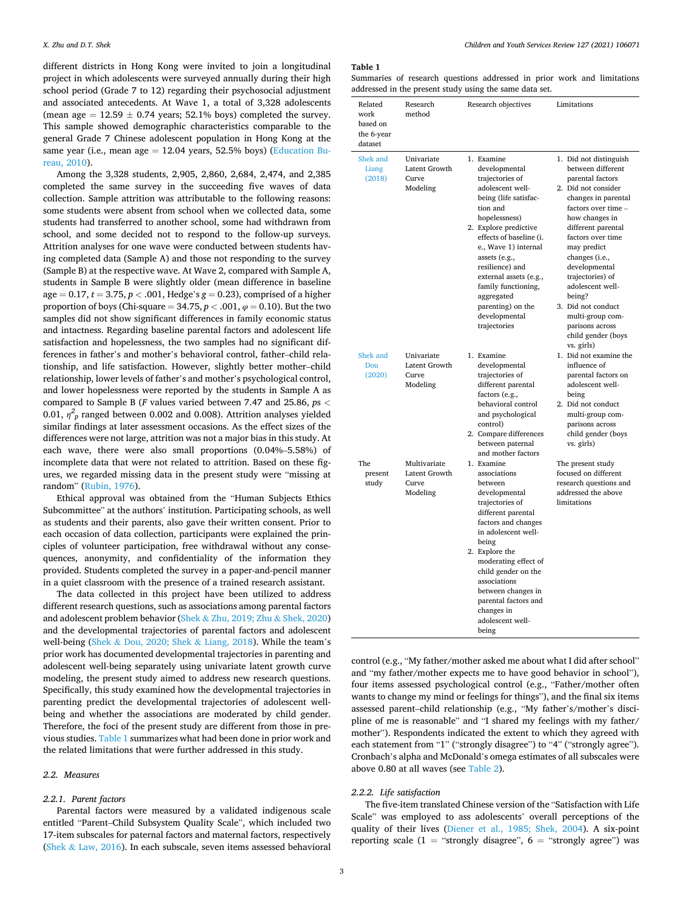<span id="page-2-0"></span>different districts in Hong Kong were invited to join a longitudinal project in which adolescents were surveyed annually during their high school period (Grade 7 to 12) regarding their psychosocial adjustment and associated antecedents. At Wave 1, a total of 3,328 adolescents (mean age  $= 12.59 \pm 0.74$  years; 52.1% boys) completed the survey. This sample showed demographic characteristics comparable to the general Grade 7 Chinese adolescent population in Hong Kong at the same year (i.e., mean age  $= 12.04$  years, 52.5% boys) ([Education Bu](#page-8-0)[reau, 2010\)](#page-8-0).

Among the 3,328 students, 2,905, 2,860, 2,684, 2,474, and 2,385 completed the same survey in the succeeding five waves of data collection. Sample attrition was attributable to the following reasons: some students were absent from school when we collected data, some students had transferred to another school, some had withdrawn from school, and some decided not to respond to the follow-up surveys. Attrition analyses for one wave were conducted between students having completed data (Sample A) and those not responding to the survey (Sample B) at the respective wave. At Wave 2, compared with Sample A, students in Sample B were slightly older (mean difference in baseline age  $= 0.17$ ,  $t = 3.75$ ,  $p < .001$ , Hedge's  $g = 0.23$ ), comprised of a higher proportion of boys (Chi-square  $= 34.75, p < .001, \varphi = 0.10$ ). But the two samples did not show significant differences in family economic status and intactness. Regarding baseline parental factors and adolescent life satisfaction and hopelessness, the two samples had no significant differences in father's and mother's behavioral control, father–child relationship, and life satisfaction. However, slightly better mother–child relationship, lower levels of father's and mother's psychological control, and lower hopelessness were reported by the students in Sample A as compared to Sample B (*F* values varied between 7.47 and 25.86, *p*s *<* 0.01,  $\eta^2_{\ p}$  ranged between 0.002 and 0.008). Attrition analyses yielded similar findings at later assessment occasions. As the effect sizes of the differences were not large, attrition was not a major bias in this study. At each wave, there were also small proportions (0.04%–5.58%) of incomplete data that were not related to attrition. Based on these figures, we regarded missing data in the present study were "missing at random" ([Rubin, 1976](#page-9-0)).

Ethical approval was obtained from the "Human Subjects Ethics Subcommittee" at the authors' institution. Participating schools, as well as students and their parents, also gave their written consent. Prior to each occasion of data collection, participants were explained the principles of volunteer participation, free withdrawal without any consequences, anonymity, and confidentiality of the information they provided. Students completed the survey in a paper-and-pencil manner in a quiet classroom with the presence of a trained research assistant.

The data collected in this project have been utilized to address different research questions, such as associations among parental factors and adolescent problem behavior (Shek & [Zhu, 2019; Zhu](#page-9-0) & Shek, 2020) and the developmental trajectories of parental factors and adolescent well-being (Shek & [Dou, 2020; Shek](#page-9-0) & Liang, 2018). While the team's prior work has documented developmental trajectories in parenting and adolescent well-being separately using univariate latent growth curve modeling, the present study aimed to address new research questions. Specifically, this study examined how the developmental trajectories in parenting predict the developmental trajectories of adolescent wellbeing and whether the associations are moderated by child gender. Therefore, the foci of the present study are different from those in previous studies. Table 1 summarizes what had been done in prior work and the related limitations that were further addressed in this study.

#### *2.2. Measures*

## *2.2.1. Parent factors*

Parental factors were measured by a validated indigenous scale entitled "Parent–Child Subsystem Quality Scale", which included two 17-item subscales for paternal factors and maternal factors, respectively (Shek & [Law, 2016\)](#page-9-0). In each subscale, seven items assessed behavioral

#### **Table 1**

Summaries of research questions addressed in prior work and limitations addressed in the present study using the same data set.

| Related<br>work<br>based on<br>the 6-year<br>dataset | Research<br>method                                 | Research objectives                                                                                                                                                                                                                                                                                                                                           | Limitations                                                                                                                                                                                                                                                                                                                                                                                            |
|------------------------------------------------------|----------------------------------------------------|---------------------------------------------------------------------------------------------------------------------------------------------------------------------------------------------------------------------------------------------------------------------------------------------------------------------------------------------------------------|--------------------------------------------------------------------------------------------------------------------------------------------------------------------------------------------------------------------------------------------------------------------------------------------------------------------------------------------------------------------------------------------------------|
| Shek and<br>Liang<br>(2018)                          | Univariate<br>Latent Growth<br>Curve<br>Modeling   | 1. Examine<br>developmental<br>trajectories of<br>adolescent well-<br>being (life satisfac-<br>tion and<br>hopelessness)<br>2. Explore predictive<br>effects of baseline (i.<br>e., Wave 1) internal<br>assets (e.g.,<br>resilience) and<br>external assets (e.g.,<br>family functioning,<br>aggregated<br>parenting) on the<br>developmental<br>trajectories | 1. Did not distinguish<br>between different<br>parental factors<br>2. Did not consider<br>changes in parental<br>factors over time -<br>how changes in<br>different parental<br>factors over time<br>may predict<br>changes (i.e.,<br>developmental<br>trajectories) of<br>adolescent well-<br>being?<br>3. Did not conduct<br>multi-group com-<br>parisons across<br>child gender (boys<br>vs. girls) |
| Shek and<br>Dou<br>(2020)                            | Univariate<br>Latent Growth<br>Curve<br>Modeling   | 1. Examine<br>developmental<br>trajectories of<br>different parental<br>factors (e.g.,<br>behavioral control<br>and psychological<br>control)<br>2. Compare differences<br>between paternal                                                                                                                                                                   | 1. Did not examine the<br>influence of<br>parental factors on<br>adolescent well-<br>being<br>2. Did not conduct<br>multi-group com-<br>parisons across<br>child gender (boys<br>vs. girls)                                                                                                                                                                                                            |
| The<br>present<br>study                              | Multivariate<br>Latent Growth<br>Curve<br>Modeling | and mother factors<br>1. Examine<br>associations<br>between<br>developmental<br>trajectories of<br>different parental<br>factors and changes<br>in adolescent well-<br>being                                                                                                                                                                                  | The present study<br>focused on different<br>research questions and<br>addressed the above<br>limitations                                                                                                                                                                                                                                                                                              |
|                                                      |                                                    | 2. Explore the<br>moderating effect of<br>child gender on the<br>associations<br>between changes in<br>parental factors and<br>changes in<br>adolescent well-<br>being                                                                                                                                                                                        |                                                                                                                                                                                                                                                                                                                                                                                                        |

control (e.g., "My father/mother asked me about what I did after school" and "my father/mother expects me to have good behavior in school"), four items assessed psychological control (e.g., "Father/mother often wants to change my mind or feelings for things"), and the final six items assessed parent–child relationship (e.g., "My father's/mother's discipline of me is reasonable" and "I shared my feelings with my father/ mother"). Respondents indicated the extent to which they agreed with each statement from "1" ("strongly disagree") to "4" ("strongly agree"). Cronbach's alpha and McDonald's omega estimates of all subscales were above 0.80 at all waves (see [Table 2](#page-3-0)).

### *2.2.2. Life satisfaction*

The five-item translated Chinese version of the "Satisfaction with Life Scale" was employed to ass adolescents' overall perceptions of the quality of their lives [\(Diener et al., 1985; Shek, 2004](#page-8-0)). A six-point reporting scale (1 = "strongly disagree",  $6 =$  "strongly agree") was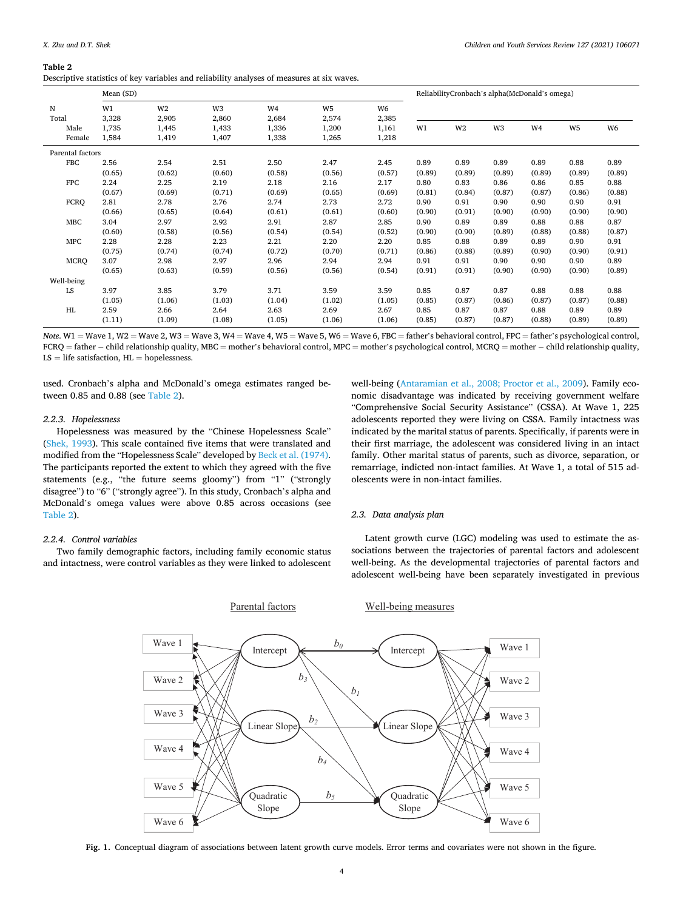#### <span id="page-3-0"></span>**Table 2**

| Descriptive statistics of key variables and reliability analyses of measures at six waves. |  |  |  |
|--------------------------------------------------------------------------------------------|--|--|--|
|                                                                                            |  |  |  |

|                  | Mean (SD)      |                         |                         |                                  | ReliabilityCronbach's alpha(McDonald's omega) |             |                |        |        |                |        |        |
|------------------|----------------|-------------------------|-------------------------|----------------------------------|-----------------------------------------------|-------------|----------------|--------|--------|----------------|--------|--------|
| N<br>Total       | W1<br>3,328    | W <sub>2</sub><br>2,905 | W <sub>3</sub><br>2,860 | W4<br>2,684                      | W5<br>2,574                                   | W6<br>2,385 |                |        |        |                |        |        |
| Male<br>Female   | 1,735<br>1,584 | 1,445<br>1,419          | 1,433<br>1,407          | 1,336<br>1,200<br>1,338<br>1,265 | 1,161<br>1,218                                | W1          | W <sub>2</sub> | W3     | W4     | W <sub>5</sub> | W6     |        |
| Parental factors |                |                         |                         |                                  |                                               |             |                |        |        |                |        |        |
| <b>FBC</b>       | 2.56           | 2.54                    | 2.51                    | 2.50                             | 2.47                                          | 2.45        | 0.89           | 0.89   | 0.89   | 0.89           | 0.88   | 0.89   |
|                  | (0.65)         | (0.62)                  | (0.60)                  | (0.58)                           | (0.56)                                        | (0.57)      | (0.89)         | (0.89) | (0.89) | (0.89)         | (0.89) | (0.89) |
| <b>FPC</b>       | 2.24           | 2.25                    | 2.19                    | 2.18                             | 2.16                                          | 2.17        | 0.80           | 0.83   | 0.86   | 0.86           | 0.85   | 0.88   |
|                  | (0.67)         | (0.69)                  | (0.71)                  | (0.69)                           | (0.65)                                        | (0.69)      | (0.81)         | (0.84) | (0.87) | (0.87)         | (0.86) | (0.88) |
| <b>FCRQ</b>      | 2.81           | 2.78                    | 2.76                    | 2.74                             | 2.73                                          | 2.72        | 0.90           | 0.91   | 0.90   | 0.90           | 0.90   | 0.91   |
|                  | (0.66)         | (0.65)                  | (0.64)                  | (0.61)                           | (0.61)                                        | (0.60)      | (0.90)         | (0.91) | (0.90) | (0.90)         | (0.90) | (0.90) |
| <b>MBC</b>       | 3.04           | 2.97                    | 2.92                    | 2.91                             | 2.87                                          | 2.85        | 0.90           | 0.89   | 0.89   | 0.88           | 0.88   | 0.87   |
|                  | (0.60)         | (0.58)                  | (0.56)                  | (0.54)                           | (0.54)                                        | (0.52)      | (0.90)         | (0.90) | (0.89) | (0.88)         | (0.88) | (0.87) |
| <b>MPC</b>       | 2.28           | 2.28                    | 2.23                    | 2.21                             | 2.20                                          | 2.20        | 0.85           | 0.88   | 0.89   | 0.89           | 0.90   | 0.91   |
|                  | (0.75)         | (0.74)                  | (0.74)                  | (0.72)                           | (0.70)                                        | (0.71)      | (0.86)         | (0.88) | (0.89) | (0.90)         | (0.90) | (0.91) |
| <b>MCRQ</b>      | 3.07           | 2.98                    | 2.97                    | 2.96                             | 2.94                                          | 2.94        | 0.91           | 0.91   | 0.90   | 0.90           | 0.90   | 0.89   |
|                  | (0.65)         | (0.63)                  | (0.59)                  | (0.56)                           | (0.56)                                        | (0.54)      | (0.91)         | (0.91) | (0.90) | (0.90)         | (0.90) | (0.89) |
| Well-being       |                |                         |                         |                                  |                                               |             |                |        |        |                |        |        |
| LS               | 3.97           | 3.85                    | 3.79                    | 3.71                             | 3.59                                          | 3.59        | 0.85           | 0.87   | 0.87   | 0.88           | 0.88   | 0.88   |
|                  | (1.05)         | (1.06)                  | (1.03)                  | (1.04)                           | (1.02)                                        | (1.05)      | (0.85)         | (0.87) | (0.86) | (0.87)         | (0.87) | (0.88) |
| HL               | 2.59           | 2.66                    | 2.64                    | 2.63                             | 2.69                                          | 2.67        | 0.85           | 0.87   | 0.87   | 0.88           | 0.89   | 0.89   |
|                  | (1.11)         | (1.09)                  | (1.08)                  | (1.05)                           | (1.06)                                        | (1.06)      | (0.85)         | (0.87) | (0.87) | (0.88)         | (0.89) | (0.89) |

*Note*. W1 = Wave 1, W2 = Wave 2, W3 = Wave 3, W4 = Wave 4, W5 = Wave 5, W6 = Wave 6, FBC = father's behavioral control, FPC = father's psychological control, FCRQ = father − child relationship quality, MBC = mother's behavioral control, MPC = mother's psychological control, MCRQ = mother − child relationship quality,  $LS = life$  satisfaction,  $HL =$  hopelessness.

used. Cronbach's alpha and McDonald's omega estimates ranged between 0.85 and 0.88 (see Table 2).

## *2.2.3. Hopelessness*

Hopelessness was measured by the "Chinese Hopelessness Scale" ([Shek, 1993](#page-9-0)). This scale contained five items that were translated and modified from the "Hopelessness Scale" developed by [Beck et al. \(1974\)](#page-8-0). The participants reported the extent to which they agreed with the five statements (e.g., "the future seems gloomy") from "1" ("strongly disagree") to "6" ("strongly agree"). In this study, Cronbach's alpha and McDonald's omega values were above 0.85 across occasions (see Table 2).

#### *2.2.4. Control variables*

Two family demographic factors, including family economic status and intactness, were control variables as they were linked to adolescent well-being [\(Antaramian et al., 2008; Proctor et al., 2009](#page-8-0)). Family economic disadvantage was indicated by receiving government welfare "Comprehensive Social Security Assistance" (CSSA). At Wave 1, 225 adolescents reported they were living on CSSA. Family intactness was indicated by the marital status of parents. Specifically, if parents were in their first marriage, the adolescent was considered living in an intact family. Other marital status of parents, such as divorce, separation, or remarriage, indicted non-intact families. At Wave 1, a total of 515 adolescents were in non-intact families.

## *2.3. Data analysis plan*

Latent growth curve (LGC) modeling was used to estimate the associations between the trajectories of parental factors and adolescent well-being. As the developmental trajectories of parental factors and adolescent well-being have been separately investigated in previous



**Fig. 1.** Conceptual diagram of associations between latent growth curve models. Error terms and covariates were not shown in the figure.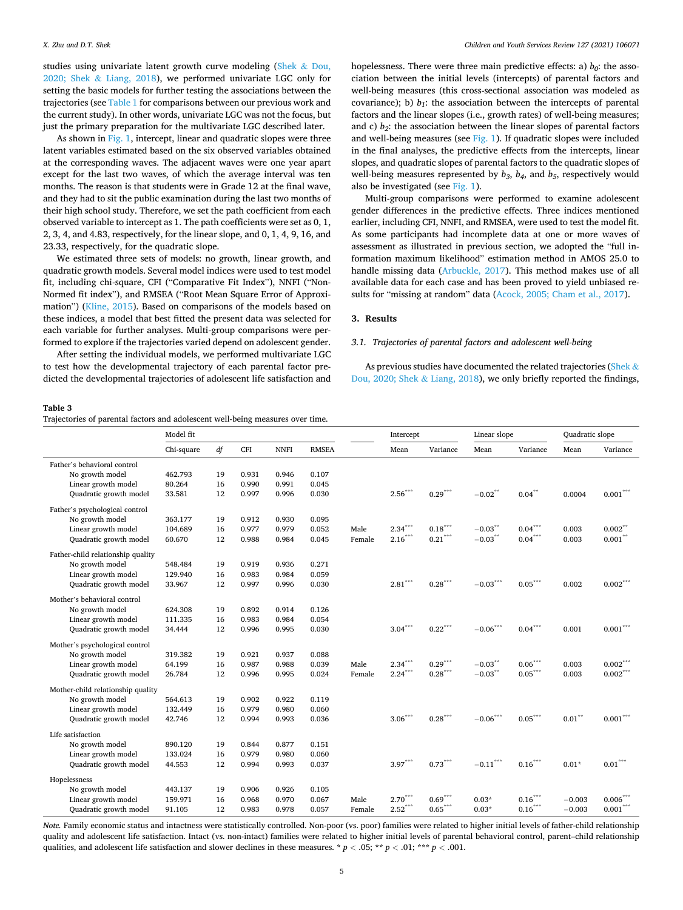<span id="page-4-0"></span>studies using univariate latent growth curve modeling [\(Shek](#page-9-0) & Dou, 2020; Shek & [Liang, 2018](#page-9-0)), we performed univariate LGC only for setting the basic models for further testing the associations between the trajectories (see [Table 1](#page-2-0) for comparisons between our previous work and the current study). In other words, univariate LGC was not the focus, but just the primary preparation for the multivariate LGC described later.

As shown in [Fig. 1](#page-3-0), intercept, linear and quadratic slopes were three latent variables estimated based on the six observed variables obtained at the corresponding waves. The adjacent waves were one year apart except for the last two waves, of which the average interval was ten months. The reason is that students were in Grade 12 at the final wave, and they had to sit the public examination during the last two months of their high school study. Therefore, we set the path coefficient from each observed variable to intercept as 1. The path coefficients were set as 0, 1, 2, 3, 4, and 4.83, respectively, for the linear slope, and 0, 1, 4, 9, 16, and 23.33, respectively, for the quadratic slope.

We estimated three sets of models: no growth, linear growth, and quadratic growth models. Several model indices were used to test model fit, including chi-square, CFI ("Comparative Fit Index"), NNFI ("Non-Normed fit index"), and RMSEA ("Root Mean Square Error of Approximation") ([Kline, 2015\)](#page-8-0). Based on comparisons of the models based on these indices, a model that best fitted the present data was selected for each variable for further analyses. Multi-group comparisons were performed to explore if the trajectories varied depend on adolescent gender.

After setting the individual models, we performed multivariate LGC to test how the developmental trajectory of each parental factor predicted the developmental trajectories of adolescent life satisfaction and

hopelessness. There were three main predictive effects: a)  $b_0$ : the association between the initial levels (intercepts) of parental factors and well-being measures (this cross-sectional association was modeled as covariance); b)  $b_1$ : the association between the intercepts of parental factors and the linear slopes (i.e., growth rates) of well-being measures; and c) *b2*: the association between the linear slopes of parental factors and well-being measures (see [Fig. 1\)](#page-3-0). If quadratic slopes were included in the final analyses, the predictive effects from the intercepts, linear slopes, and quadratic slopes of parental factors to the quadratic slopes of well-being measures represented by  $b_3$ ,  $b_4$ , and  $b_5$ , respectively would also be investigated (see [Fig. 1](#page-3-0)).

Multi-group comparisons were performed to examine adolescent gender differences in the predictive effects. Three indices mentioned earlier, including CFI, NNFI, and RMSEA, were used to test the model fit. As some participants had incomplete data at one or more waves of assessment as illustrated in previous section, we adopted the "full information maximum likelihood" estimation method in AMOS 25.0 to handle missing data ([Arbuckle, 2017\)](#page-8-0). This method makes use of all available data for each case and has been proved to yield unbiased results for "missing at random" data [\(Acock, 2005; Cham et al., 2017\)](#page-8-0).

#### **3. Results**

## *3.1. Trajectories of parental factors and adolescent well-being*

As previous studies have documented the related trajectories ([Shek](#page-9-0) & [Dou, 2020; Shek](#page-9-0) & Liang, 2018), we only briefly reported the findings,

#### **Table 3**

|  | Trajectories of parental factors and adolescent well-being measures over time. |  |  |  |  |  |  |  |  |  |  |
|--|--------------------------------------------------------------------------------|--|--|--|--|--|--|--|--|--|--|
|--|--------------------------------------------------------------------------------|--|--|--|--|--|--|--|--|--|--|

|                                   | Model fit  |    |            |             | Intercept    |        | Linear slope          |                       | Quadratic slope                 |                       |              |                        |
|-----------------------------------|------------|----|------------|-------------|--------------|--------|-----------------------|-----------------------|---------------------------------|-----------------------|--------------|------------------------|
|                                   | Chi-square | df | <b>CFI</b> | <b>NNFI</b> | <b>RMSEA</b> |        | Mean                  | Variance              | Mean                            | Variance              | Mean         | Variance               |
| Father's behavioral control       |            |    |            |             |              |        |                       |                       |                                 |                       |              |                        |
| No growth model                   | 462.793    | 19 | 0.931      | 0.946       | 0.107        |        |                       |                       |                                 |                       |              |                        |
| Linear growth model               | 80.264     | 16 | 0.990      | 0.991       | 0.045        |        |                       |                       |                                 |                       |              |                        |
| Quadratic growth model            | 33.581     | 12 | 0.997      | 0.996       | 0.030        |        | $2.56\sp{***}$        | $0.29^{\ast\ast\ast}$ | $\textbf{-0.02}^{\ast\ast}$     | $0.04***$             | 0.0004       | $0.001^{\ast\ast\ast}$ |
| Father's psychological control    |            |    |            |             |              |        |                       |                       |                                 |                       |              |                        |
| No growth model                   | 363.177    | 19 | 0.912      | 0.930       | 0.095        |        |                       |                       |                                 |                       |              |                        |
| Linear growth model               | 104.689    | 16 | 0.977      | 0.979       | 0.052        | Male   | $2.34***$             | $0.18***$             | $\textbf{-0.03}^{\ast\ast}$     | $0.04\sp{^{***}}$     | 0.003        | $0.002***$             |
| Quadratic growth model            | 60.670     | 12 | 0.988      | 0.984       | 0.045        | Female | $2.16***$             | $0.21^{\ast\ast\ast}$ | $\mathbf{-0.03}^{**}$           | $0.04^{\ast\ast\ast}$ | 0.003        | $0.001\sp{*}$          |
| Father-child relationship quality |            |    |            |             |              |        |                       |                       |                                 |                       |              |                        |
| No growth model                   | 548.484    | 19 | 0.919      | 0.936       | 0.271        |        |                       |                       |                                 |                       |              |                        |
| Linear growth model               | 129.940    | 16 | 0.983      | 0.984       | 0.059        |        |                       |                       |                                 |                       |              |                        |
| Quadratic growth model            | 33.967     | 12 | 0.997      | 0.996       | 0.030        |        | $\mathbf{2.81}^{***}$ | $0.28^{\ast\ast\ast}$ | $-0.03^{\ast\ast\ast}$          | $0.05^{\ast\ast\ast}$ | 0.002        | $0.002***$             |
| Mother's behavioral control       |            |    |            |             |              |        |                       |                       |                                 |                       |              |                        |
| No growth model                   | 624.308    | 19 | 0.892      | 0.914       | 0.126        |        |                       |                       |                                 |                       |              |                        |
| Linear growth model               | 111.335    | 16 | 0.983      | 0.984       | 0.054        |        |                       |                       |                                 |                       |              |                        |
| Quadratic growth model            | 34.444     | 12 | 0.996      | 0.995       | 0.030        |        | $3.04***$             | $0.22^\mathrm{***}$   | $-0.06^{\ast\ast\ast}$          | $0.04***$             | 0.001        | $0.001^{\ast\ast\ast}$ |
| Mother's psychological control    |            |    |            |             |              |        |                       |                       |                                 |                       |              |                        |
| No growth model                   | 319.382    | 19 | 0.921      | 0.937       | 0.088        |        |                       |                       |                                 |                       |              |                        |
| Linear growth model               | 64.199     | 16 | 0.987      | 0.988       | 0.039        | Male   | $2.34^{\ast\ast\ast}$ | $0.29^{\ast\ast\ast}$ | $\textbf{-0.03}^{\ast\ast}$     | $0.06***$             | 0.003        | $0.002\sp{***}$        |
| Quadratic growth model            | 26.784     | 12 | 0.996      | 0.995       | 0.024        | Female | $2.24***$             | $0.28^{\ast\ast\ast}$ | $\textbf{-0.03}^{\ast\ast}$     | $0.05***$             | 0.003        | $0.002\sp{***}$        |
| Mother-child relationship quality |            |    |            |             |              |        |                       |                       |                                 |                       |              |                        |
| No growth model                   | 564.613    | 19 | 0.902      | 0.922       | 0.119        |        |                       |                       |                                 |                       |              |                        |
| Linear growth model               | 132.449    | 16 | 0.979      | 0.980       | 0.060        |        |                       |                       |                                 |                       |              |                        |
| Quadratic growth model            | 42.746     | 12 | 0.994      | 0.993       | 0.036        |        | $3.06***$             | $0.28^{\ast\ast\ast}$ | $-0.06^{\ast\ast\ast}$          | $0.05^{\ast\ast\ast}$ | $0.01\sp{*}$ | $0.001^{\ast\ast\ast}$ |
| Life satisfaction                 |            |    |            |             |              |        |                       |                       |                                 |                       |              |                        |
| No growth model                   | 890.120    | 19 | 0.844      | 0.877       | 0.151        |        |                       |                       |                                 |                       |              |                        |
| Linear growth model               | 133.024    | 16 | 0.979      | 0.980       | 0.060        |        |                       |                       |                                 |                       |              |                        |
| Quadratic growth model            | 44.553     | 12 | 0.994      | 0.993       | 0.037        |        | $3.97^{\ast\ast\ast}$ | $0.73^\mathrm{***}$   | $\textbf{-0.11}^{\ast\ast\ast}$ | $0.16^{\ast\ast\ast}$ | $0.01*$      | $0.01^{\ast\ast\ast}$  |
| Hopelessness                      |            |    |            |             |              |        |                       |                       |                                 |                       |              |                        |
| No growth model                   | 443.137    | 19 | 0.906      | 0.926       | 0.105        |        |                       |                       |                                 |                       |              |                        |
| Linear growth model               | 159.971    | 16 | 0.968      | 0.970       | 0.067        | Male   | $2.70^{\ast\ast\ast}$ | $0.69^{\ast\ast\ast}$ | $0.03*$                         | $0.16\sp{^{***}}$     | $-0.003$     | $0.006^{***}\,$        |
| Quadratic growth model            | 91.105     | 12 | 0.983      | 0.978       | 0.057        | Female | $2.52^\ast{}^*$       | $0.65^\mathrm{***}$   | $0.03*$                         | $0.16***$             | $-0.003$     | $0.001^{\ast\ast\ast}$ |

*Note.* Family economic status and intactness were statistically controlled. Non-poor (vs. poor) families were related to higher initial levels of father-child relationship quality and adolescent life satisfaction. Intact (vs. non-intact) families were related to higher initial levels of parental behavioral control, parent–child relationship qualities, and adolescent life satisfaction and slower declines in these measures. \* *p <* .05; \*\* *p <* .01; \*\*\* *p <* .001.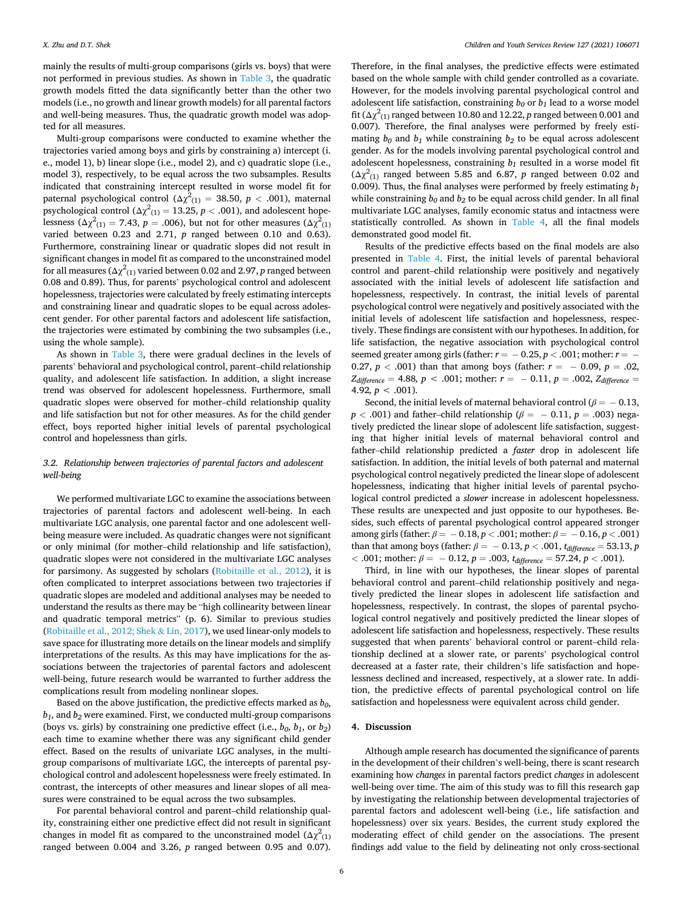mainly the results of multi-group comparisons (girls vs. boys) that were not performed in previous studies. As shown in [Table 3](#page-4-0), the quadratic growth models fitted the data significantly better than the other two models (i.e., no growth and linear growth models) for all parental factors and well-being measures. Thus, the quadratic growth model was adopted for all measures.

Multi-group comparisons were conducted to examine whether the trajectories varied among boys and girls by constraining a) intercept (i. e., model 1), b) linear slope (i.e., model 2), and c) quadratic slope (i.e., model 3), respectively, to be equal across the two subsamples. Results indicated that constraining intercept resulted in worse model fit for paternal psychological control ( $\Delta \chi^2_{(1)} = 38.50$ ,  $p < .001$ ), maternal psychological control ( $\Delta \chi^2_{(1)} = 13.25, p < .001$ ), and adolescent hopelessness ( $\Delta \chi^2_{(1)} = 7.43$ ,  $p = .006$ ), but not for other measures ( $\Delta \chi^2_{(1)}$ varied between 0.23 and 2.71, *p* ranged between 0.10 and 0.63). Furthermore, constraining linear or quadratic slopes did not result in significant changes in model fit as compared to the unconstrained model for all measures ( $\Delta\chi^2_{(1)}$  varied between 0.02 and 2.97,  $p$  ranged between 0.08 and 0.89). Thus, for parents' psychological control and adolescent hopelessness, trajectories were calculated by freely estimating intercepts and constraining linear and quadratic slopes to be equal across adolescent gender. For other parental factors and adolescent life satisfaction, the trajectories were estimated by combining the two subsamples (i.e., using the whole sample).

As shown in [Table 3,](#page-4-0) there were gradual declines in the levels of parents' behavioral and psychological control, parent–child relationship quality, and adolescent life satisfaction. In addition, a slight increase trend was observed for adolescent hopelessness. Furthermore, small quadratic slopes were observed for mother–child relationship quality and life satisfaction but not for other measures. As for the child gender effect, boys reported higher initial levels of parental psychological control and hopelessness than girls.

## *3.2. Relationship between trajectories of parental factors and adolescent well-being*

We performed multivariate LGC to examine the associations between trajectories of parental factors and adolescent well-being. In each multivariate LGC analysis, one parental factor and one adolescent wellbeing measure were included. As quadratic changes were not significant or only minimal (for mother–child relationship and life satisfaction), quadratic slopes were not considered in the multivariate LGC analyses for parsimony. As suggested by scholars [\(Robitaille et al., 2012\)](#page-9-0), it is often complicated to interpret associations between two trajectories if quadratic slopes are modeled and additional analyses may be needed to understand the results as there may be "high collinearity between linear and quadratic temporal metrics" (p. 6). Similar to previous studies ([Robitaille et al., 2012; Shek](#page-9-0) & Lin, 2017), we used linear-only models to save space for illustrating more details on the linear models and simplify interpretations of the results. As this may have implications for the associations between the trajectories of parental factors and adolescent well-being, future research would be warranted to further address the complications result from modeling nonlinear slopes.

Based on the above justification, the predictive effects marked as  $b_0$ , *b1*, and *b2* were examined. First, we conducted multi-group comparisons (boys vs. girls) by constraining one predictive effect (i.e.,  $b_0$ ,  $b_1$ , or  $b_2$ ) each time to examine whether there was any significant child gender effect. Based on the results of univariate LGC analyses, in the multigroup comparisons of multivariate LGC, the intercepts of parental psychological control and adolescent hopelessness were freely estimated. In contrast, the intercepts of other measures and linear slopes of all measures were constrained to be equal across the two subsamples.

For parental behavioral control and parent–child relationship quality, constraining either one predictive effect did not result in significant changes in model fit as compared to the unconstrained model  $(\Delta \chi^2_{(1)}$ ranged between 0.004 and 3.26, *p* ranged between 0.95 and 0.07).

Therefore, in the final analyses, the predictive effects were estimated based on the whole sample with child gender controlled as a covariate. However, for the models involving parental psychological control and adolescent life satisfaction, constraining  $b_0$  or  $b_1$  lead to a worse model fit ( $\Delta \chi^2_{(1)}$  ranged between 10.80 and 12.22, *p* ranged between 0.001 and 0.007). Therefore, the final analyses were performed by freely estimating  $b_0$  and  $b_1$  while constraining  $b_2$  to be equal across adolescent gender. As for the models involving parental psychological control and adolescent hopelessness, constraining  $b_1$  resulted in a worse model fit  $(\Delta \chi^2_{(1)}$  ranged between 5.85 and 6.87, *p* ranged between 0.02 and 0.009). Thus, the final analyses were performed by freely estimating *b1*  while constraining  $b_0$  and  $b_2$  to be equal across child gender. In all final multivariate LGC analyses, family economic status and intactness were statistically controlled. As shown in [Table 4,](#page-6-0) all the final models demonstrated good model fit.

Results of the predictive effects based on the final models are also presented in [Table 4.](#page-6-0) First, the initial levels of parental behavioral control and parent–child relationship were positively and negatively associated with the initial levels of adolescent life satisfaction and hopelessness, respectively. In contrast, the initial levels of parental psychological control were negatively and positively associated with the initial levels of adolescent life satisfaction and hopelessness, respectively. These findings are consistent with our hypotheses. In addition, for life satisfaction, the negative association with psychological control seemed greater among girls (father:  $r = -0.25$ ,  $p < .001$ ; mother:  $r = -$ 0.27,  $p < .001$ ) than that among boys (father:  $r = -0.09$ ,  $p = .02$ ,  $Z_{difference} = 4.88, p < .001;$  mother:  $r = -0.11, p = .002, Z_{difference} =$ 4.92,  $p < .001$ ).

Second, the initial levels of maternal behavioral control ( $\beta$  =  $-$  0.13, *p* < .001) and father–child relationship ( $\beta$  =  $-$  0.11, *p* = .003) negatively predicted the linear slope of adolescent life satisfaction, suggesting that higher initial levels of maternal behavioral control and father–child relationship predicted a *faster* drop in adolescent life satisfaction. In addition, the initial levels of both paternal and maternal psychological control negatively predicted the linear slope of adolescent hopelessness, indicating that higher initial levels of parental psychological control predicted a *slower* increase in adolescent hopelessness. These results are unexpected and just opposite to our hypotheses. Besides, such effects of parental psychological control appeared stronger among girls (father: *β* = − 0.18, *p <* .001; mother: *β* = − 0.16, *p <* .001) than that among boys (father:  $\beta = -0.13$ ,  $p < .001$ ,  $t_{difference} = 53.13$ ,  $p$  $\langle$  .001; mother:  $\beta = -0.12$ ,  $p = .003$ ,  $t_{difference} = 57.24$ ,  $p < .001$ ).

Third, in line with our hypotheses, the linear slopes of parental behavioral control and parent–child relationship positively and negatively predicted the linear slopes in adolescent life satisfaction and hopelessness, respectively. In contrast, the slopes of parental psychological control negatively and positively predicted the linear slopes of adolescent life satisfaction and hopelessness, respectively. These results suggested that when parents' behavioral control or parent–child relationship declined at a slower rate, or parents' psychological control decreased at a faster rate, their children's life satisfaction and hopelessness declined and increased, respectively, at a slower rate. In addition, the predictive effects of parental psychological control on life satisfaction and hopelessness were equivalent across child gender.

### **4. Discussion**

Although ample research has documented the significance of parents in the development of their children's well-being, there is scant research examining how *changes* in parental factors predict *changes* in adolescent well-being over time. The aim of this study was to fill this research gap by investigating the relationship between developmental trajectories of parental factors and adolescent well-being (i.e., life satisfaction and hopelessness) over six years. Besides, the current study explored the moderating effect of child gender on the associations. The present findings add value to the field by delineating not only cross-sectional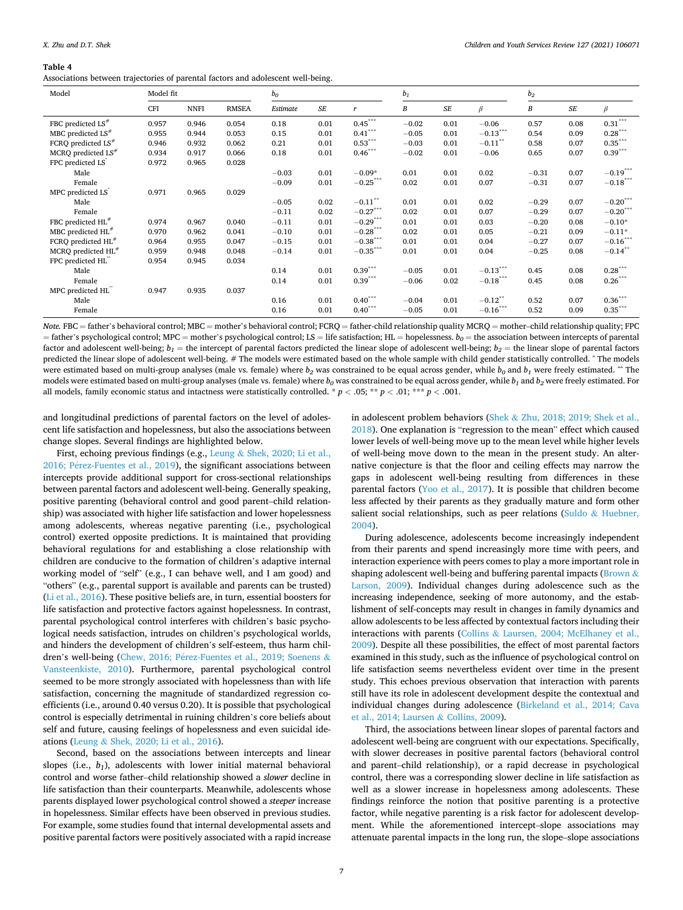#### <span id="page-6-0"></span>**Table 4**

Associations between trajectories of parental factors and adolescent well-being.

| Model                            | Model fit |             |              | b <sub>o</sub> |           |                       | $b_1$   |           |             | b <sub>2</sub> |                      |                        |
|----------------------------------|-----------|-------------|--------------|----------------|-----------|-----------------------|---------|-----------|-------------|----------------|----------------------|------------------------|
|                                  | CFI       | <b>NNFI</b> | <b>RMSEA</b> | Estimate       | <b>SE</b> | $\mathbf{r}$          | B       | $\cal SE$ | $\beta$     | В              | $S\hspace{-0.08em}E$ | $\beta$                |
| FBC predicted $LS^*$             | 0.957     | 0.946       | 0.054        | 0.18           | 0.01      | $0.45***$             | $-0.02$ | 0.01      | $-0.06$     | 0.57           | 0.08                 | $0.31***$              |
| MBC predicted $LS^*$             | 0.955     | 0.944       | 0.053        | 0.15           | 0.01      | $0.41***$             | $-0.05$ | 0.01      | $-0.13***$  | 0.54           | 0.09                 | $0.28***$              |
| FCRO predicted $LS$ <sup>#</sup> | 0.946     | 0.932       | 0.062        | 0.21           | 0.01      | $0.53***$             | $-0.03$ | 0.01      | $-0.11$ **  | 0.58           | 0.07                 | $0.35***$              |
| MCRQ predicted $LS$ <sup>#</sup> | 0.934     | 0.917       | 0.066        | 0.18           | 0.01      | $0.46***$             | $-0.02$ | 0.01      | $-0.06$     | 0.65           | 0.07                 | $0.39***$              |
| FPC predicted LS <sup>2</sup>    | 0.972     | 0.965       | 0.028        |                |           |                       |         |           |             |                |                      |                        |
| Male                             |           |             |              | $-0.03$        | 0.01      | $-0.09*$              | 0.01    | 0.01      | 0.02        | $-0.31$        | 0.07                 | $-0.19$ ***            |
| Female                           |           |             |              | $-0.09$        | 0.01      | $-0.25***$            | 0.02    | 0.01      | 0.07        | $-0.31$        | 0.07                 | $-0.18$ ***            |
| MPC predicted LS                 | 0.971     | 0.965       | 0.029        |                |           |                       |         |           |             |                |                      |                        |
| Male                             |           |             |              | $-0.05$        | 0.02      | $-0.11$ <sup>**</sup> | 0.01    | 0.01      | 0.02        | $-0.29$        | 0.07                 | $-0.20^\mathrm{***}$   |
| Female                           |           |             |              | $-0.11$        | 0.02      | $-0.27***$            | 0.02    | 0.01      | 0.07        | $-0.29$        | 0.07                 | $-0.20^{\ast\ast\ast}$ |
| FBC predicted HL <sup>#</sup>    | 0.974     | 0.967       | 0.040        | $-0.11$        | 0.01      | $-0.29***$            | 0.01    | 0.01      | 0.03        | $-0.20$        | 0.08                 | $-0.10*$               |
| MBC predicted $HL^{\#}$          | 0.970     | 0.962       | 0.041        | $-0.10$        | 0.01      | $-0.28$ ***           | 0.02    | 0.01      | 0.05        | $-0.21$        | 0.09                 | $-0.11*$               |
| FCRQ predicted HL <sup>#</sup>   | 0.964     | 0.955       | 0.047        | $-0.15$        | 0.01      | $-0.38$ ***           | 0.01    | 0.01      | 0.04        | $-0.27$        | 0.07                 | $-0.16$ ***            |
| MCRQ predicted HL <sup>#</sup>   | 0.959     | 0.948       | 0.048        | $-0.14$        | 0.01      | $-0.35***$            | 0.01    | 0.01      | 0.04        | $-0.25$        | 0.08                 | $-0.14$ <sup>*</sup>   |
| FPC predicted HL                 | 0.954     | 0.945       | 0.034        |                |           |                       |         |           |             |                |                      |                        |
| Male                             |           |             |              | 0.14           | 0.01      | $0.39***$             | $-0.05$ | 0.01      | $-0.13***$  | 0.45           | 0.08                 | $0.28***$              |
| Female                           |           |             |              | 0.14           | 0.01      | $0.39***$             | $-0.06$ | 0.02      | $-0.18$ *** | 0.45           | 0.08                 | $0.26***$              |
| MPC predicted HL                 | 0.947     | 0.935       | 0.037        |                |           |                       |         |           |             |                |                      |                        |
| Male                             |           |             |              | 0.16           | 0.01      | $0.40***$             | $-0.04$ | 0.01      | $-0.12$ **  | 0.52           | 0.07                 | $0.36***$              |
| Female                           |           |             |              | 0.16           | 0.01      | $0.40***$             | $-0.05$ | 0.01      | $-0.16$     | 0.52           | 0.09                 | $0.35***$              |

*Note.* FBC = father's behavioral control; MBC = mother's behavioral control; FCRQ = father-child relationship quality MCRQ = mother–child relationship quality; FPC = father's psychological control; MPC = mother's psychological control; LS = life satisfaction; HL = hopelessness. *b0* = the association between intercepts of parental factor and adolescent well-being;  $b_1$  = the intercept of parental factors predicted the linear slope of adolescent well-being;  $b_2$  = the linear slope of parental factors predicted the linear slope of adolescent well-being. # The models were estimated based on the whole sample with child gender statistically controlled. ^ The models were estimated based on multi-group analyses (male vs. female) where  $b_2$  was constrained to be equal across gender, while  $b_0$  and  $b_1$  were freely estimated.  $\sim$  The models were estimated based on multi-group analyses (male vs. female) where  $b_0$  was constrained to be equal across gender, while  $b_1$  and  $b_2$  were freely estimated. For all models, family economic status and intactness were statistically controlled. \* *p <* .05; \*\* *p <* .01; \*\*\* *p <* .001.

and longitudinal predictions of parental factors on the level of adolescent life satisfaction and hopelessness, but also the associations between change slopes. Several findings are highlighted below.

First, echoing previous findings (e.g., Leung & [Shek, 2020; Li et al.,](#page-8-0)  2016; Pérez-Fuentes et al., 2019), the significant associations between intercepts provide additional support for cross-sectional relationships between parental factors and adolescent well-being. Generally speaking, positive parenting (behavioral control and good parent–child relationship) was associated with higher life satisfaction and lower hopelessness among adolescents, whereas negative parenting (i.e., psychological control) exerted opposite predictions. It is maintained that providing behavioral regulations for and establishing a close relationship with children are conducive to the formation of children's adaptive internal working model of "self" (e.g., I can behave well, and I am good) and "others" (e.g., parental support is available and parents can be trusted) ([Li et al., 2016](#page-8-0)). These positive beliefs are, in turn, essential boosters for life satisfaction and protective factors against hopelessness. In contrast, parental psychological control interferes with children's basic psychological needs satisfaction, intrudes on children's psychological worlds, and hinders the development of children's self-esteem, thus harm children's well-being (Chew, 2016; Pérez-Fuentes et al., 2019; Soenens & [Vansteenkiste, 2010](#page-8-0)). Furthermore, parental psychological control seemed to be more strongly associated with hopelessness than with life satisfaction, concerning the magnitude of standardized regression coefficients (i.e., around 0.40 versus 0.20). It is possible that psychological control is especially detrimental in ruining children's core beliefs about self and future, causing feelings of hopelessness and even suicidal ideations (Leung & [Shek, 2020; Li et al., 2016\)](#page-8-0).

Second, based on the associations between intercepts and linear slopes (i.e., *b1*), adolescents with lower initial maternal behavioral control and worse father–child relationship showed a *slower* decline in life satisfaction than their counterparts. Meanwhile, adolescents whose parents displayed lower psychological control showed a *steeper* increase in hopelessness. Similar effects have been observed in previous studies. For example, some studies found that internal developmental assets and positive parental factors were positively associated with a rapid increase

in adolescent problem behaviors (Shek & [Zhu, 2018; 2019; Shek et al.,](#page-9-0)  [2018\)](#page-9-0). One explanation is "regression to the mean" effect which caused lower levels of well-being move up to the mean level while higher levels of well-being move down to the mean in the present study. An alternative conjecture is that the floor and ceiling effects may narrow the gaps in adolescent well-being resulting from differences in these parental factors [\(Yoo et al., 2017\)](#page-9-0). It is possible that children become less affected by their parents as they gradually mature and form other salient social relationships, such as peer relations (Suldo & [Huebner,](#page-9-0)  [2004\)](#page-9-0).

During adolescence, adolescents become increasingly independent from their parents and spend increasingly more time with peers, and interaction experience with peers comes to play a more important role in shaping adolescent well-being and buffering parental impacts ([Brown](#page-8-0) & [Larson, 2009\)](#page-8-0). Individual changes during adolescence such as the increasing independence, seeking of more autonomy, and the establishment of self-concepts may result in changes in family dynamics and allow adolescents to be less affected by contextual factors including their interactions with parents (Collins & [Laursen, 2004; McElhaney et al.,](#page-8-0)  [2009\)](#page-8-0). Despite all these possibilities, the effect of most parental factors examined in this study, such as the influence of psychological control on life satisfaction seems nevertheless evident over time in the present study. This echoes previous observation that interaction with parents still have its role in adolescent development despite the contextual and individual changes during adolescence ([Birkeland et al., 2014; Cava](#page-8-0)  [et al., 2014; Laursen](#page-8-0) & Collins, 2009).

Third, the associations between linear slopes of parental factors and adolescent well-being are congruent with our expectations. Specifically, with slower decreases in positive parental factors (behavioral control and parent–child relationship), or a rapid decrease in psychological control, there was a corresponding slower decline in life satisfaction as well as a slower increase in hopelessness among adolescents. These findings reinforce the notion that positive parenting is a protective factor, while negative parenting is a risk factor for adolescent development. While the aforementioned intercept–slope associations may attenuate parental impacts in the long run, the slope–slope associations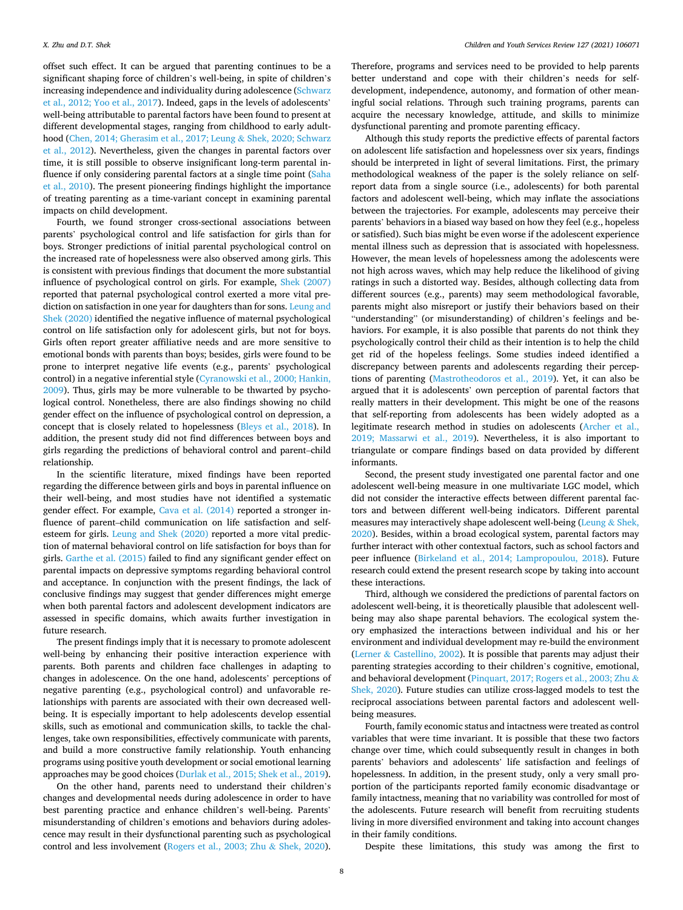offset such effect. It can be argued that parenting continues to be a significant shaping force of children's well-being, in spite of children's increasing independence and individuality during adolescence [\(Schwarz](#page-9-0)  [et al., 2012; Yoo et al., 2017\)](#page-9-0). Indeed, gaps in the levels of adolescents' well-being attributable to parental factors have been found to present at different developmental stages, ranging from childhood to early adulthood [\(Chen, 2014; Gherasim et al., 2017; Leung](#page-8-0) & Shek, 2020; Schwarz [et al., 2012\)](#page-8-0). Nevertheless, given the changes in parental factors over time, it is still possible to observe insignificant long-term parental influence if only considering parental factors at a single time point ([Saha](#page-9-0)  [et al., 2010\)](#page-9-0). The present pioneering findings highlight the importance of treating parenting as a time-variant concept in examining parental impacts on child development.

Fourth, we found stronger cross-sectional associations between parents' psychological control and life satisfaction for girls than for boys. Stronger predictions of initial parental psychological control on the increased rate of hopelessness were also observed among girls. This is consistent with previous findings that document the more substantial influence of psychological control on girls. For example, [Shek \(2007\)](#page-9-0)  reported that paternal psychological control exerted a more vital prediction on satisfaction in one year for daughters than for sons. [Leung and](#page-8-0)  [Shek \(2020\)](#page-8-0) identified the negative influence of maternal psychological control on life satisfaction only for adolescent girls, but not for boys. Girls often report greater affiliative needs and are more sensitive to emotional bonds with parents than boys; besides, girls were found to be prone to interpret negative life events (e.g., parents' psychological control) in a negative inferential style [\(Cyranowski et al., 2000; Hankin,](#page-8-0)  [2009\)](#page-8-0). Thus, girls may be more vulnerable to be thwarted by psychological control. Nonetheless, there are also findings showing no child gender effect on the influence of psychological control on depression, a concept that is closely related to hopelessness ([Bleys et al., 2018](#page-8-0)). In addition, the present study did not find differences between boys and girls regarding the predictions of behavioral control and parent–child relationship.

In the scientific literature, mixed findings have been reported regarding the difference between girls and boys in parental influence on their well-being, and most studies have not identified a systematic gender effect. For example, [Cava et al. \(2014\)](#page-8-0) reported a stronger influence of parent–child communication on life satisfaction and selfesteem for girls. [Leung and Shek \(2020\)](#page-8-0) reported a more vital prediction of maternal behavioral control on life satisfaction for boys than for girls. [Garthe et al. \(2015\)](#page-8-0) failed to find any significant gender effect on parental impacts on depressive symptoms regarding behavioral control and acceptance. In conjunction with the present findings, the lack of conclusive findings may suggest that gender differences might emerge when both parental factors and adolescent development indicators are assessed in specific domains, which awaits further investigation in future research.

The present findings imply that it is necessary to promote adolescent well-being by enhancing their positive interaction experience with parents. Both parents and children face challenges in adapting to changes in adolescence. On the one hand, adolescents' perceptions of negative parenting (e.g., psychological control) and unfavorable relationships with parents are associated with their own decreased wellbeing. It is especially important to help adolescents develop essential skills, such as emotional and communication skills, to tackle the challenges, take own responsibilities, effectively communicate with parents, and build a more constructive family relationship. Youth enhancing programs using positive youth development or social emotional learning approaches may be good choices [\(Durlak et al., 2015; Shek et al., 2019](#page-8-0)).

On the other hand, parents need to understand their children's changes and developmental needs during adolescence in order to have best parenting practice and enhance children's well-being. Parents' misunderstanding of children's emotions and behaviors during adolescence may result in their dysfunctional parenting such as psychological control and less involvement [\(Rogers et al., 2003; Zhu](#page-9-0) & Shek, 2020).

Therefore, programs and services need to be provided to help parents better understand and cope with their children's needs for selfdevelopment, independence, autonomy, and formation of other meaningful social relations. Through such training programs, parents can acquire the necessary knowledge, attitude, and skills to minimize dysfunctional parenting and promote parenting efficacy.

Although this study reports the predictive effects of parental factors on adolescent life satisfaction and hopelessness over six years, findings should be interpreted in light of several limitations. First, the primary methodological weakness of the paper is the solely reliance on selfreport data from a single source (i.e., adolescents) for both parental factors and adolescent well-being, which may inflate the associations between the trajectories. For example, adolescents may perceive their parents' behaviors in a biased way based on how they feel (e.g., hopeless or satisfied). Such bias might be even worse if the adolescent experience mental illness such as depression that is associated with hopelessness. However, the mean levels of hopelessness among the adolescents were not high across waves, which may help reduce the likelihood of giving ratings in such a distorted way. Besides, although collecting data from different sources (e.g., parents) may seem methodological favorable, parents might also misreport or justify their behaviors based on their "understanding" (or misunderstanding) of children's feelings and behaviors. For example, it is also possible that parents do not think they psychologically control their child as their intention is to help the child get rid of the hopeless feelings. Some studies indeed identified a discrepancy between parents and adolescents regarding their perceptions of parenting ([Mastrotheodoros et al., 2019](#page-8-0)). Yet, it can also be argued that it is adolescents' own perception of parental factors that really matters in their development. This might be one of the reasons that self-reporting from adolescents has been widely adopted as a legitimate research method in studies on adolescents ([Archer et al.,](#page-8-0)  [2019; Massarwi et al., 2019\)](#page-8-0). Nevertheless, it is also important to triangulate or compare findings based on data provided by different informants.

Second, the present study investigated one parental factor and one adolescent well-being measure in one multivariate LGC model, which did not consider the interactive effects between different parental factors and between different well-being indicators. Different parental measures may interactively shape adolescent well-being [\(Leung](#page-8-0) & Shek, [2020\)](#page-8-0). Besides, within a broad ecological system, parental factors may further interact with other contextual factors, such as school factors and peer influence ([Birkeland et al., 2014; Lampropoulou, 2018\)](#page-8-0). Future research could extend the present research scope by taking into account these interactions.

Third, although we considered the predictions of parental factors on adolescent well-being, it is theoretically plausible that adolescent wellbeing may also shape parental behaviors. The ecological system theory emphasized the interactions between individual and his or her environment and individual development may re-build the environment (Lerner & [Castellino, 2002\)](#page-8-0). It is possible that parents may adjust their parenting strategies according to their children's cognitive, emotional, and behavioral development [\(Pinquart, 2017; Rogers et al., 2003; Zhu](#page-9-0) & [Shek, 2020](#page-9-0)). Future studies can utilize cross-lagged models to test the reciprocal associations between parental factors and adolescent wellbeing measures.

Fourth, family economic status and intactness were treated as control variables that were time invariant. It is possible that these two factors change over time, which could subsequently result in changes in both parents' behaviors and adolescents' life satisfaction and feelings of hopelessness. In addition, in the present study, only a very small proportion of the participants reported family economic disadvantage or family intactness, meaning that no variability was controlled for most of the adolescents. Future research will benefit from recruiting students living in more diversified environment and taking into account changes in their family conditions.

Despite these limitations, this study was among the first to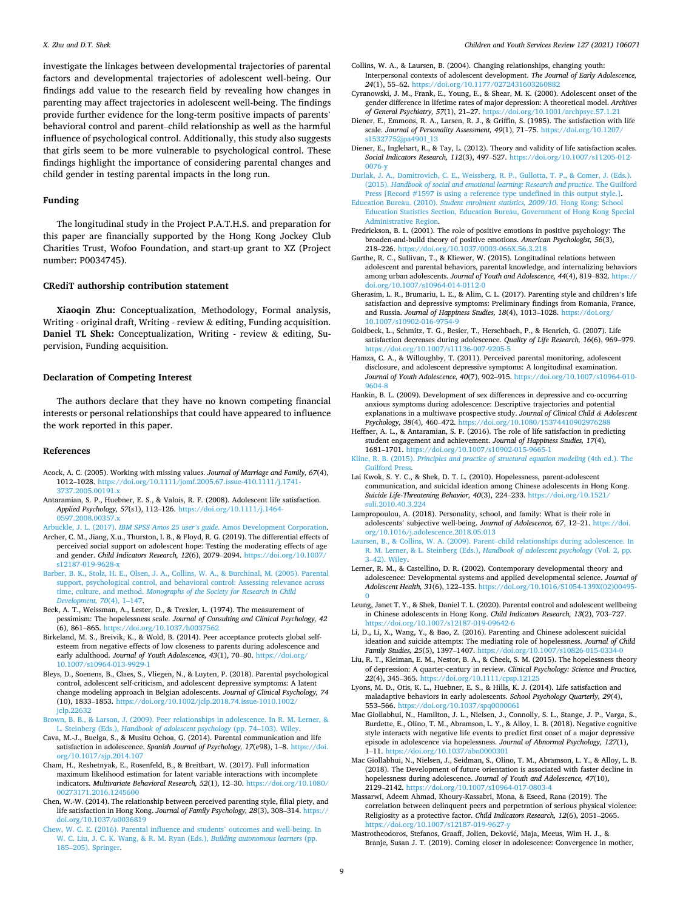<span id="page-8-0"></span>investigate the linkages between developmental trajectories of parental factors and developmental trajectories of adolescent well-being. Our findings add value to the research field by revealing how changes in parenting may affect trajectories in adolescent well-being. The findings provide further evidence for the long-term positive impacts of parents' behavioral control and parent–child relationship as well as the harmful influence of psychological control. Additionally, this study also suggests that girls seem to be more vulnerable to psychological control. These findings highlight the importance of considering parental changes and child gender in testing parental impacts in the long run.

## **Funding**

The longitudinal study in the Project P.A.T.H.S. and preparation for this paper are financially supported by the Hong Kong Jockey Club Charities Trust, Wofoo Foundation, and start-up grant to XZ (Project number: P0034745).

#### **CRediT authorship contribution statement**

**Xiaoqin Zhu:** Conceptualization, Methodology, Formal analysis, Writing - original draft, Writing - review & editing, Funding acquisition. **Daniel TL Shek:** Conceptualization, Writing - review & editing, Supervision, Funding acquisition.

#### **Declaration of Competing Interest**

The authors declare that they have no known competing financial interests or personal relationships that could have appeared to influence the work reported in this paper.

#### **References**

- Acock, A. C. (2005). Working with missing values. *Journal of Marriage and Family, 67*(4), 1012–1028. [https://doi.org/10.1111/jomf.2005.67.issue-410.1111/j.1741-](https://doi.org/10.1111/jomf.2005.67.issue-410.1111/j.1741-3737.2005.00191.x)  [3737.2005.00191.x](https://doi.org/10.1111/jomf.2005.67.issue-410.1111/j.1741-3737.2005.00191.x)
- Antaramian, S. P., Huebner, E. S., & Valois, R. F. (2008). Adolescent life satisfaction. *Applied Psychology, 57*(s1), 112–126. [https://doi.org/10.1111/j.1464-](https://doi.org/10.1111/j.1464-0597.2008.00357.x) 597.2008.00357.
- Arbuckle, J. L. (2017). *IBM SPSS Amos 25 user's guide*[. Amos Development Corporation.](http://refhub.elsevier.com/S0190-7409(21)00150-X/h0015) Archer, C. M., Jiang, X.u., Thurston, I. B., & Floyd, R. G. (2019). The differential effects of perceived social support on adolescent hope: Testing the moderating effects of age and gender. *Child Indicators Research, 12*(6), 2079–2094. [https://doi.org/10.1007/](https://doi.org/10.1007/s12187-019-9628-x)  [s12187-019-9628-x](https://doi.org/10.1007/s12187-019-9628-x)
- [Barber, B. K., Stolz, H. E., Olsen, J. A., Collins, W. A., & Burchinal, M. \(2005\). Parental](http://refhub.elsevier.com/S0190-7409(21)00150-X/h0025)  [support, psychological control, and behavioral control: Assessing relevance across](http://refhub.elsevier.com/S0190-7409(21)00150-X/h0025)  time, culture, and method. *[Monographs of the Society for Research in Child](http://refhub.elsevier.com/S0190-7409(21)00150-X/h0025) [Development, 70](http://refhub.elsevier.com/S0190-7409(21)00150-X/h0025)*(4), 1–147.
- Beck, A. T., Weissman, A., Lester, D., & Trexler, L. (1974). The measurement of pessimism: The hopelessness scale. *Journal of Consulting and Clinical Psychology, 42*  (6), 861–865.<https://doi.org/10.1037/h0037562>
- Birkeland, M. S., Breivik, K., & Wold, B. (2014). Peer acceptance protects global selfesteem from negative effects of low closeness to parents during adolescence and early adulthood. *Journal of Youth Adolescence, 43*(1), 70–80. [https://doi.org/](https://doi.org/10.1007/s10964-013-9929-1)  [10.1007/s10964-013-9929-1](https://doi.org/10.1007/s10964-013-9929-1)
- Bleys, D., Soenens, B., Claes, S., Vliegen, N., & Luyten, P. (2018). Parental psychological control, adolescent self-criticism, and adolescent depressive symptoms: A latent change modeling approach in Belgian adolescents. *Journal of Clinical Psychology, 74*  (10), 1833–1853. [https://doi.org/10.1002/jclp.2018.74.issue-1010.1002/](https://doi.org/10.1002/jclp.2018.74.issue-1010.1002/jclp.22632)  [jclp.22632](https://doi.org/10.1002/jclp.2018.74.issue-1010.1002/jclp.22632)
- [Brown, B. B., & Larson, J. \(2009\). Peer relationships in adolescence. In R. M. Lerner, &](http://refhub.elsevier.com/S0190-7409(21)00150-X/h0045)  L. Steinberg (Eds.), *[Handbook of adolescent psychology](http://refhub.elsevier.com/S0190-7409(21)00150-X/h0045)* (pp. 74–103). Wiley.
- Cava, M.-J., Buelga, S., & Musitu Ochoa, G. (2014). Parental communication and life satisfaction in adolescence. *Spanish Journal of Psychology, 17*(e98), 1–8. [https://doi.](https://doi.org/10.1017/sjp.2014.107)  [org/10.1017/sjp.2014.107](https://doi.org/10.1017/sjp.2014.107)
- Cham, H., Reshetnyak, E., Rosenfeld, B., & Breitbart, W. (2017). Full information maximum likelihood estimation for latent variable interactions with incomplete indicators. *Multivariate Behavioral Research, 52*(1), 12–30. [https://doi.org/10.1080/](https://doi.org/10.1080/00273171.2016.1245600)  [00273171.2016.1245600](https://doi.org/10.1080/00273171.2016.1245600)
- Chen, W.-W. (2014). The relationship between perceived parenting style, filial piety, and life satisfaction in Hong Kong. *Journal of Family Psychology, 28*(3), 308–314. [https://](https://doi.org/10.1037/a0036819)  [doi.org/10.1037/a0036819](https://doi.org/10.1037/a0036819)
- [Chew, W. C. E. \(2016\). Parental influence and students](http://refhub.elsevier.com/S0190-7409(21)00150-X/h0065)' outcomes and well-being. In [W. C. Liu, J. C. K. Wang, & R. M. Ryan \(Eds.\),](http://refhub.elsevier.com/S0190-7409(21)00150-X/h0065) *Building autonomous learners* (pp. 185–[205\). Springer](http://refhub.elsevier.com/S0190-7409(21)00150-X/h0065).
- Collins, W. A., & Laursen, B. (2004). Changing relationships, changing youth: Interpersonal contexts of adolescent development. *The Journal of Early Adolescence, 24*(1), 55–62.<https://doi.org/10.1177/0272431603260882>
- Cyranowski, J. M., Frank, E., Young, E., & Shear, M. K. (2000). Adolescent onset of the gender difference in lifetime rates of major depression: A theoretical model. *Archives of General Psychiatry, 57*(1), 21–27. <https://doi.org/10.1001/archpsyc.57.1.21>
- Diener, E., Emmons, R. A., Larsen, R. J., & Griffin, S. (1985). The satisfaction with life scale. *Journal of Personality Assessment, 49*(1), 71–75. [https://doi.org/10.1207/](https://doi.org/10.1207/s15327752jpa4901_13)  [s15327752jpa4901\\_13](https://doi.org/10.1207/s15327752jpa4901_13)
- Diener, E., Inglehart, R., & Tay, L. (2012). Theory and validity of life satisfaction scales. *Social Indicators Research, 112*(3), 497–527. [https://doi.org/10.1007/s11205-012-](https://doi.org/10.1007/s11205-012-0076-y)  [0076-y](https://doi.org/10.1007/s11205-012-0076-y)
- [Durlak, J. A., Domitrovich, C. E., Weissberg, R. P., Gullotta, T. P., & Comer, J. \(Eds.\).](http://refhub.elsevier.com/S0190-7409(21)00150-X/h0090) (2015). *[Handbook of social and emotional learning: Research and practice](http://refhub.elsevier.com/S0190-7409(21)00150-X/h0090)*. The Guilford [Press \[Record #1597 is using a reference type undefined in this output style.\].](http://refhub.elsevier.com/S0190-7409(21)00150-X/h0090)
- Education Bureau. (2010). *[Student enrolment statistics, 2009/10](http://refhub.elsevier.com/S0190-7409(21)00150-X/h9000)*. Hong Kong: School [Education Statistics Section, Education Bureau, Government of Hong Kong Special](http://refhub.elsevier.com/S0190-7409(21)00150-X/h9000)  [Administrative Region](http://refhub.elsevier.com/S0190-7409(21)00150-X/h9000).
- Fredrickson, B. L. (2001). The role of positive emotions in positive psychology: The broaden-and-build theory of positive emotions. *American Psychologist, 56*(3), 218–226. <https://doi.org/10.1037/0003-066X.56.3.218>
- Garthe, R. C., Sullivan, T., & Kliewer, W. (2015). Longitudinal relations between adolescent and parental behaviors, parental knowledge, and internalizing behaviors among urban adolescents. *Journal of Youth and Adolescence, 44*(4), 819–832. [https://](https://doi.org/10.1007/s10964-014-0112-0)  [doi.org/10.1007/s10964-014-0112-0](https://doi.org/10.1007/s10964-014-0112-0)
- Gherasim, L. R., Brumariu, L. E., & Alim, C. L. (2017). Parenting style and children's life satisfaction and depressive symptoms: Preliminary findings from Romania, France, and Russia. *Journal of Happiness Studies, 18*(4), 1013–1028. [https://doi.org/](https://doi.org/10.1007/s10902-016-9754-9) 10.1007/s10902-016-9
- Goldbeck, L., Schmitz, T. G., Besier, T., Herschbach, P., & Henrich, G. (2007). Life satisfaction decreases during adolescence. *Quality of Life Research, 16*(6), 969–979. https://doi.org/10.1007/s11136-007-9205-
- Hamza, C. A., & Willoughby, T. (2011). Perceived parental monitoring, adolescent disclosure, and adolescent depressive symptoms: A longitudinal examination. *Journal of Youth Adolescence, 40*(7), 902–915. [https://doi.org/10.1007/s10964-010-](https://doi.org/10.1007/s10964-010-9604-8)  [9604-8](https://doi.org/10.1007/s10964-010-9604-8)
- Hankin, B. L. (2009). Development of sex differences in depressive and co-occurring anxious symptoms during adolescence: Descriptive trajectories and potential explanations in a multiwave prospective study. *Journal of Clinical Child & Adolescent Psychology, 38*(4), 460–472. <https://doi.org/10.1080/15374410902976288>
- Heffner, A. L., & Antaramian, S. P. (2016). The role of life satisfaction in predicting student engagement and achievement. *Journal of Happiness Studies, 17*(4), 1681–1701.<https://doi.org/10.1007/s10902-015-9665-1>

Kline, R. B. (2015). *Principles and practice of structural equation modeling* (4th ed.). The [Guilford Press.](http://refhub.elsevier.com/S0190-7409(21)00150-X/h0130)

- Lai Kwok, S. Y. C., & Shek, D. T. L. (2010). Hopelessness, parent-adolescent communication, and suicidal ideation among Chinese adolescents in Hong Kong. *Suicide Life-Threatening Behavior, 40*(3), 224–233. [https://doi.org/10.1521/](https://doi.org/10.1521/suli.2010.40.3.224) [suli.2010.40.3.224](https://doi.org/10.1521/suli.2010.40.3.224)
- Lampropoulou, A. (2018). Personality, school, and family: What is their role in adolescents' subjective well-being. *Journal of Adolescence, 67*, 12–21. [https://doi.](https://doi.org/10.1016/j.adolescence.2018.05.013) [org/10.1016/j.adolescence.2018.05.013](https://doi.org/10.1016/j.adolescence.2018.05.013)
- [Laursen, B., & Collins, W. A. \(2009\). Parent](http://refhub.elsevier.com/S0190-7409(21)00150-X/h0145)–child relationships during adolescence. In [R. M. Lerner, & L. Steinberg \(Eds.\),](http://refhub.elsevier.com/S0190-7409(21)00150-X/h0145) *Handbook of adolescent psychology* (Vol. 2, pp. 3–[42\). Wiley](http://refhub.elsevier.com/S0190-7409(21)00150-X/h0145).
- Lerner, R. M., & Castellino, D. R. (2002). Contemporary developmental theory and adolescence: Developmental systems and applied developmental science. *Journal of Adolescent Health, 31*(6), 122–135. [https://doi.org/10.1016/S1054-139X\(02\)00495-](https://doi.org/10.1016/S1054-139X(02)00495-0)
- [0](https://doi.org/10.1016/S1054-139X(02)00495-0) Leung, Janet T. Y., & Shek, Daniel T. L. (2020). Parental control and adolescent wellbeing in Chinese adolescents in Hong Kong. *Child Indicators Research, 13*(2), 703–727. <https://doi.org/10.1007/s12187-019-09642-6>
- Li, D., Li, X., Wang, Y., & Bao, Z. (2016). Parenting and Chinese adolescent suicidal ideation and suicide attempts: The mediating role of hopelessness. *Journal of Child Family Studies, 25*(5), 1397–1407. <https://doi.org/10.1007/s10826-015-0334-0>
- Liu, R. T., Kleiman, E. M., Nestor, B. A., & Cheek, S. M. (2015). The hopelessness theory of depression: A quarter-century in review. *Clinical Psychology: Science and Practice, 22*(4), 345–365. <https://doi.org/10.1111/cpsp.12125>
- Lyons, M. D., Otis, K. L., Huebner, E. S., & Hills, K. J. (2014). Life satisfaction and maladaptive behaviors in early adolescents. *School Psychology Quarterly, 29*(4), 553–566. <https://doi.org/10.1037/spq0000061>
- Mac Giollabhui, N., Hamilton, J. L., Nielsen, J., Connolly, S. L., Stange, J. P., Varga, S., Burdette, E., Olino, T. M., Abramson, L. Y., & Alloy, L. B. (2018). Negative cognitive style interacts with negative life events to predict first onset of a major depressive episode in adolescence via hopelessness. *Journal of Abnormal Psychology, 127*(1), 1–11.<https://doi.org/10.1037/abn0000301>
- Mac Giollabhui, N., Nielsen, J., Seidman, S., Olino, T. M., Abramson, L. Y., & Alloy, L. B. (2018). The Development of future orientation is associated with faster decline in hopelessness during adolescence. *Journal of Youth and Adolescence, 47*(10), 2129–2142.<https://doi.org/10.1007/s10964-017-0803-4>
- Massarwi, Adeem Ahmad, Khoury-Kassabri, Mona, & Eseed, Rana (2019). The correlation between delinquent peers and perpetration of serious physical violence: Religiosity as a protective factor. *Child Indicators Research, 12*(6), 2051–2065. https://doi.org/10.1007/s12187-019-9627-
- Mastrotheodoros, Stefanos, Graaff, Jolien, Deković, Maja, Meeus, Wim H. J., & Branje, Susan J. T. (2019). Coming closer in adolescence: Convergence in mother,